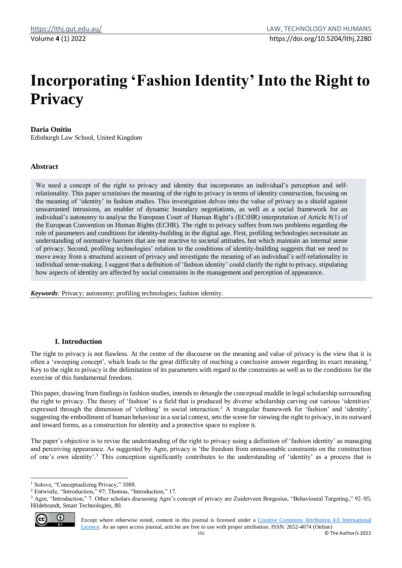# **Incorporating 'Fashion Identity' Into the Right to Privacy**

## **Daria Onitiu**

Edinburgh Law School, United Kingdom

### **Abstract**

We need a concept of the right to privacy and identity that incorporates an individual's perception and selfrelationality. This paper scrutinises the meaning of the right to privacy in terms of identity construction, focusing on the meaning of 'identity' in fashion studies. This investigation delves into the value of privacy as a shield against unwarranted intrusions, an enabler of dynamic boundary negotiations, as well as a social framework for an individual's autonomy to analyse the European Court of Human Right's (ECtHR) interpretation of Article 8(1) of the European Convention on Human Rights (ECHR). The right to privacy suffers from two problems regarding the role of parameters and conditions for identity-building in the digital age. First, profiling technologies necessitate an understanding of normative barriers that are not reactive to societal attitudes, but which maintain an internal sense of privacy. Second, profiling technologies' relation to the conditions of identity-building suggests that we need to move away from a structural account of privacy and investigate the meaning of an individual's self-relationality in individual sense-making. I suggest that a definition of 'fashion identity' could clarify the right to privacy, stipulating how aspects of identity are affected by social constraints in the management and perception of appearance.

*Keywords:* Privacy; autonomy; profiling technologies; fashion identity.

# **I. Introduction**

The right to privacy is not flawless. At the centre of the discourse on the meaning and value of privacy is the view that it is often a 'sweeping concept', which leads to the great difficulty of reaching a conclusive answer regarding its exact meaning.<sup>1</sup> Key to the right to privacy is the delimitation of its parameters with regard to the constraints as well as to the conditions for the exercise of this fundamental freedom.

This paper, drawing from findings in fashion studies, intends to detangle the conceptual muddle in legal scholarship surrounding the right to privacy. The theory of 'fashion' is a field that is produced by diverse scholarship carving out various 'identities' expressed through the dimension of 'clothing' in social interaction.<sup>2</sup> A triangular framework for 'fashion' and 'identity', suggesting the embodiment of human behaviour in a social context, sets the scene for viewing the right to privacy, in its outward and inward forms, as a construction for identity and a protective space to explore it.

The paper's objective is to revise the understanding of the right to privacy using a definition of 'fashion identity' as managing and perceiving appearance. As suggested by Agre, privacy is 'the freedom from unreasonable constraints on the construction of one's own identity'.<sup>3</sup> This conception significantly contributes to the understanding of 'identity' as a process that is

 $3$  Agre, "Introduction," 7. Other scholars discussing Agre's concept of privacy are Zuiderveen Borgesius, "Behavioural Targeting," 92–95; Hildebrandt, Smart Technologies, 80.



Except where otherwise noted, content in this journal is licensed under a [Creative Commons Attribution 4.0 International](https://creativecommons.org/licenses/by/4.0/)  [Licence.](https://creativecommons.org/licenses/by/4.0/) As an open access journal, articles are free to use with proper attribution. ISSN: 2652-4074 (Online)

<sup>&</sup>lt;sup>1</sup> Solove, "Conceptualizing Privacy," 1088.

<sup>2</sup> Entwistle, "Introduction," 97; Thomas, "Introduction," 17.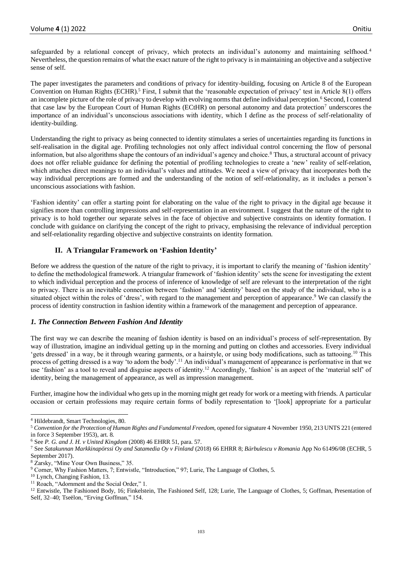safeguarded by a relational concept of privacy, which protects an individual's autonomy and maintaining selfhood.<sup>4</sup> Nevertheless, the question remains of what the exact nature of the right to privacy is in maintaining an objective and a subjective sense of self.

The paper investigates the parameters and conditions of privacy for identity-building, focusing on Article 8 of the European Convention on Human Rights  $ECHR$ <sup>5</sup> First, I submit that the 'reasonable expectation of privacy' test in Article 8(1) offers an incomplete picture of the role of privacy to develop with evolving norms that define individual perception.<sup>6</sup> Second, I contend that case law by the European Court of Human Rights (ECtHR) on personal autonomy and data protection<sup>7</sup> underscores the importance of an individual's unconscious associations with identity, which I define as the process of self-relationality of identity-building.

Understanding the right to privacy as being connected to identity stimulates a series of uncertainties regarding its functions in self-realisation in the digital age. Profiling technologies not only affect individual control concerning the flow of personal information, but also algorithms shape the contours of an individual's agency and choice.<sup>8</sup> Thus, a structural account of privacy does not offer reliable guidance for defining the potential of profiling technologies to create a 'new' reality of self-relation, which attaches direct meanings to an individual's values and attitudes. We need a view of privacy that incorporates both the way individual perceptions are formed and the understanding of the notion of self-relationality, as it includes a person's unconscious associations with fashion.

'Fashion identity' can offer a starting point for elaborating on the value of the right to privacy in the digital age because it signifies more than controlling impressions and self-representation in an environment. I suggest that the nature of the right to privacy is to hold together our separate selves in the face of objective and subjective constraints on identity formation. I conclude with guidance on clarifying the concept of the right to privacy, emphasising the relevance of individual perception and self-relationality regarding objective and subjective constraints on identity formation.

# **II. A Triangular Framework on 'Fashion Identity'**

Before we address the question of the nature of the right to privacy, it is important to clarify the meaning of 'fashion identity' to define the methodological framework. A triangular framework of 'fashion identity' sets the scene for investigating the extent to which individual perception and the process of inference of knowledge of self are relevant to the interpretation of the right to privacy. There is an inevitable connection between 'fashion' and 'identity' based on the study of the individual, who is a situated object within the roles of 'dress', with regard to the management and perception of appearance.<sup>9</sup> We can classify the process of identity construction in fashion identity within a framework of the management and perception of appearance.

### *1. The Connection Between Fashion And Identity*

The first way we can describe the meaning of fashion identity is based on an individual's process of self-representation. By way of illustration, imagine an individual getting up in the morning and putting on clothes and accessories. Every individual 'gets dressed' in a way, be it through wearing garments, or a hairstyle, or using body modifications, such as tattooing.<sup>10</sup> This process of getting dressed is a way 'to adorn the body'.<sup>11</sup> An individual's management of appearance is performative in that we use 'fashion' as a tool to reveal and disguise aspects of identity.<sup>12</sup> Accordingly, 'fashion' is an aspect of the 'material self' of identity, being the management of appearance, as well as impression management.

Further, imagine how the individual who gets up in the morning might get ready for work or a meeting with friends. A particular occasion or certain professions may require certain forms of bodily representation to '[look] appropriate for a particular

<sup>4</sup> Hildebrandt, Smart Technologies, 80.

<sup>5</sup> *Convention for the Protection of Human Rights and Fundamental Freedom*, opened for signature 4 November 1950, 213 UNTS 221 (entered in force 3 September 1953), art. 8.

<sup>6</sup> See *P. G. and J. H. v United Kingdom* (2008) 46 EHRR 51, para. 57.

<sup>7</sup> See *Satakunnan Markkinapörssi Oy and Satamedia Oy v Finland* (2018) 66 EHRR 8; *Bărbulescu v Romania* App No 61496/08 (ECHR, 5 September 2017).

<sup>8</sup> Zarsky, "Mine Your Own Business," 35.

<sup>9</sup> Corner, Why Fashion Matters, 7; Entwistle, "Introduction," 97; Lurie, The Language of Clothes, 5.

<sup>10</sup> Lynch, Changing Fashion, 13.

<sup>&</sup>lt;sup>11</sup> Roach, "Adornment and the Social Order," 1.

<sup>&</sup>lt;sup>12</sup> Entwistle, The Fashioned Body, 16; Finkelstein, The Fashioned Self, 128; Lurie, The Language of Clothes, 5; Goffman, Presentation of Self, 32–40; Tseëlon, "Erving Goffman," 154.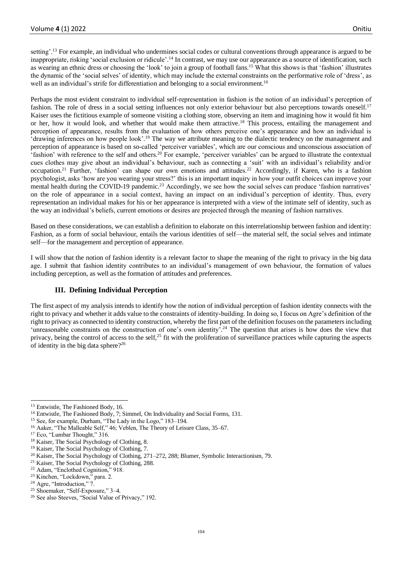setting'.<sup>13</sup> For example, an individual who undermines social codes or cultural conventions through appearance is argued to be inappropriate, risking 'social exclusion or ridicule'.<sup>14</sup> In contrast, we may use our appearance as a source of identification, such as wearing an ethnic dress or choosing the 'look' to join a group of football fans.<sup>15</sup> What this shows is that 'fashion' illustrates the dynamic of the 'social selves' of identity, which may include the external constraints on the performative role of 'dress', as well as an individual's strife for differentiation and belonging to a social environment.<sup>16</sup>

Perhaps the most evident constraint to individual self-representation in fashion is the notion of an individual's perception of fashion. The role of dress in a social setting influences not only exterior behaviour but also perceptions towards oneself.<sup>17</sup> Kaiser uses the fictitious example of someone visiting a clothing store, observing an item and imagining how it would fit him or her, how it would look, and whether that would make them attractive.<sup>18</sup> This process, entailing the management and perception of appearance, results from the evaluation of how others perceive one's appearance and how an individual is 'drawing inferences on how people look'.<sup>19</sup> The way we attribute meaning to the dialectic tendency on the management and perception of appearance is based on so-called 'perceiver variables', which are our conscious and unconscious association of <sup>1</sup> fashion' with reference to the self and others.<sup>20</sup> For example, 'perceiver variables' can be argued to illustrate the contextual cues clothes may give about an individual's behaviour, such as connecting a 'suit' with an individual's reliability and/or occupation.<sup>21</sup> Further, 'fashion' can shape our own emotions and attitudes.<sup>22</sup> Accordingly, if Karen, who is a fashion psychologist, asks 'how are you wearing your stress?' this is an important inquiry in how your outfit choices can improve your mental health during the COVID-19 pandemic.<sup>23</sup> Accordingly, we see how the social selves can produce 'fashion narratives' on the role of appearance in a social context, having an impact on an individual's perception of identity. Thus, every representation an individual makes for his or her appearance is interpreted with a view of the intimate self of identity, such as the way an individual's beliefs, current emotions or desires are projected through the meaning of fashion narratives.

Based on these considerations, we can establish a definition to elaborate on this interrelationship between fashion and identity: Fashion, as a form of social behaviour, entails the various identities of self—the material self, the social selves and intimate self—for the management and perception of appearance.

I will show that the notion of fashion identity is a relevant factor to shape the meaning of the right to privacy in the big data age. I submit that fashion identity contributes to an individual's management of own behaviour, the formation of values including perception, as well as the formation of attitudes and preferences.

### **III. Defining Individual Perception**

The first aspect of my analysis intends to identify how the notion of individual perception of fashion identity connects with the right to privacy and whether it adds value to the constraints of identity-building. In doing so, I focus on Agre's definition of the right to privacy as connected to identity construction, whereby the first part of the definition focuses on the parameters including 'unreasonable constraints on the construction of one's own identity'.<sup>24</sup> The question that arises is how does the view that privacy, being the control of access to the self,<sup>25</sup> fit with the proliferation of surveillance practices while capturing the aspects of identity in the big data sphere?<sup>26</sup>

<sup>17</sup> Eco, "Lumbar Thought," 316.

<sup>&</sup>lt;sup>13</sup> Entwistle, The Fashioned Body, 16.

<sup>14</sup> Entwistle, The Fashioned Body, 7; Simmel, On Individuality and Social Forms, 131.

<sup>15</sup> See, for example, Durham, "The Lady in the Logo," 183–194.

<sup>16</sup> Aaker, "The Malleable Self," 46; Veblen, The Theory of Leisure Class, 35–67.

<sup>18</sup> Kaiser, The Social Psychology of Clothing, 8.

<sup>19</sup> Kaiser, The Social Psychology of Clothing, 7.

<sup>&</sup>lt;sup>20</sup> Kaiser, The Social Psychology of Clothing, 271–272, 288; Blumer, Symbolic Interactionism, 79.

<sup>21</sup> Kaiser, The Social Psychology of Clothing, 288.

<sup>22</sup> Adam, "Enclothed Cognition," 918.

<sup>23</sup> Kinchen, "Lockdown," para. 2.

<sup>&</sup>lt;sup>24</sup> Agre, "Introduction," 7.

<sup>25</sup> Shoemaker, "Self-Exposure," 3–4.

<sup>26</sup> See also Steeves, "Social Value of Privacy," 192.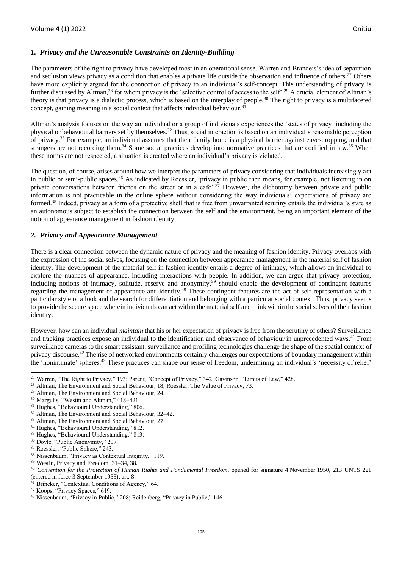# *1. Privacy and the Unreasonable Constraints on Identity-Building*

The parameters of the right to privacy have developed most in an operational sense. Warren and Brandeis's idea of separation and seclusion views privacy as a condition that enables a private life outside the observation and influence of others.<sup>27</sup> Others have more explicitly argued for the connection of privacy to an individual's self-concept. This understanding of privacy is further discussed by Altman,<sup>28</sup> for whom privacy is the 'selective control of access to the self'.<sup>29</sup> A crucial element of Altman's theory is that privacy is a dialectic process, which is based on the interplay of people.<sup>30</sup> The right to privacy is a multifaceted concept, gaining meaning in a social context that affects individual behaviour.<sup>31</sup>

Altman's analysis focuses on the way an individual or a group of individuals experiences the 'states of privacy' including the physical or behavioural barriers set by themselves.<sup>32</sup> Thus, social interaction is based on an individual's reasonable perception of privacy.<sup>33</sup> For example, an individual assumes that their family home is a physical barrier against eavesdropping, and that strangers are not recording them.<sup>34</sup> Some social practices develop into normative practices that are codified in law.<sup>35</sup> When these norms are not respected, a situation is created where an individual's privacy is violated.

The question, of course, arises around how we interpret the parameters of privacy considering that individuals increasingly act in public or semi-public spaces.<sup>36</sup> As indicated by Roessler, 'privacy in public then means, for example, not listening in on private conversations between friends on the street or in a cafe'.<sup>37</sup> However, the dichotomy between private and public information is not practicable in the online sphere without considering the way individuals' expectations of privacy are formed.<sup>38</sup> Indeed, privacy as a form of a protective shell that is free from unwarranted scrutiny entails the individual's state as an autonomous subject to establish the connection between the self and the environment, being an important element of the notion of appearance management in fashion identity.

#### *2. Privacy and Appearance Management*

There is a clear connection between the dynamic nature of privacy and the meaning of fashion identity. Privacy overlaps with the expression of the social selves, focusing on the connection between appearance management in the material self of fashion identity. The development of the material self in fashion identity entails a degree of intimacy, which allows an individual to explore the nuances of appearance, including interactions with people. In addition, we can argue that privacy protection, including notions of intimacy, solitude, reserve and anonymity,<sup>39</sup> should enable the development of contingent features regarding the management of appearance and identity.<sup>40</sup> These contingent features are the act of self-representation with a particular style or a look and the search for differentiation and belonging with a particular social context. Thus, privacy seems to provide the secure space wherein individuals can act within the material self and think within the social selves of their fashion identity.

However, how can an individual *maintain* that his or her expectation of privacy is free from the scrutiny of others? Surveillance and tracking practices expose an individual to the identification and observance of behaviour in unprecedented ways.<sup>41</sup> From surveillance cameras to the smart assistant, surveillance and profiling technologies challenge the shape of the spatial context of privacy discourse.<sup>42</sup> The rise of networked environments certainly challenges our expectations of boundary management within the 'nonintimate' spheres.<sup>43</sup> These practices can shape our sense of freedom, undermining an individual's 'necessity of relief'

<sup>&</sup>lt;sup>27</sup> Warren, "The Right to Privacy," 193; Parent, "Concept of Privacy," 342; Gavinson, "Limits of Law," 428.

<sup>&</sup>lt;sup>28</sup> Altman, The Environment and Social Behaviour, 18; Roessler, The Value of Privacy, 73.

<sup>29</sup> Altman, The Environment and Social Behaviour, 24.

<sup>30</sup> Margulis, "Westin and Altman," 418–421.

<sup>&</sup>lt;sup>31</sup> Hughes, "Behavioural Understanding," 806.

<sup>32</sup> Altman, The Environment and Social Behaviour, 32–42.

<sup>33</sup> Altman, The Environment and Social Behaviour, 27.

<sup>34</sup> Hughes, "Behavioural Understanding," 812.

<sup>&</sup>lt;sup>35</sup> Hughes, "Behavioural Understanding," 813.

<sup>36</sup> Doyle, "Public Anonymity," 207.

<sup>37</sup> Roessler, "Public Sphere," 243.

<sup>38</sup> Nissenbaum, "Privacy as Contextual Integrity," 119.

<sup>39</sup> Westin, Privacy and Freedom, 31–34, 38.

<sup>40</sup> *Convention for the Protection of Human Rights and Fundamental Freedom*, opened for signature 4 November 1950, 213 UNTS 221 (entered in force 3 September 1953), art. 8.

<sup>41</sup> Brincker, "Contextual Conditions of Agency," 64.

<sup>42</sup> Koops, "Privacy Spaces," 619.

<sup>43</sup> Nissenbaum, "Privacy in Public," 208; Reidenberg, "Privacy in Public," 146.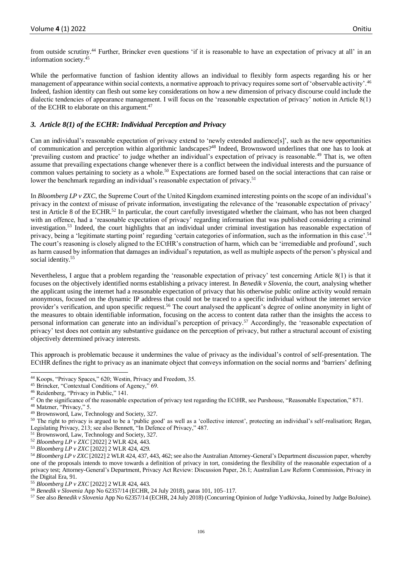from outside scrutiny.<sup>44</sup> Further, Brincker even questions 'if it is reasonable to have an expectation of privacy at all' in an information society.<sup>45</sup>

While the performative function of fashion identity allows an individual to flexibly form aspects regarding his or her management of appearance within social contexts, a normative approach to privacy requires some sort of 'observable activity'.<sup>46</sup> Indeed, fashion identity can flesh out some key considerations on how a new dimension of privacy discourse could include the dialectic tendencies of appearance management. I will focus on the 'reasonable expectation of privacy' notion in Article 8(1) of the ECHR to elaborate on this argument.<sup>47</sup>

# *3. Article 8(1) of the ECHR: Individual Perception and Privacy*

Can an individual's reasonable expectation of privacy extend to 'newly extended audience[s]', such as the new opportunities of communication and perception within algorithmic landscapes?<sup>48</sup> Indeed, Brownsword underlines that one has to look at 'prevailing custom and practice' to judge whether an individual's expectation of privacy is reasonable.<sup>49</sup> That is, we often assume that prevailing expectations change whenever there is a conflict between the individual interests and the pursuance of common values pertaining to society as a whole.<sup>50</sup> Expectations are formed based on the social interactions that can raise or lower the benchmark regarding an individual's reasonable expectation of privacy.<sup>51</sup>

In *Bloomberg LP v ZXC*, the Supreme Court of the United Kingdom examined interesting points on the scope of an individual's privacy in the context of misuse of private information, investigating the relevance of the 'reasonable expectation of privacy' test in Article 8 of the ECHR.<sup>52</sup> In particular, the court carefully investigated whether the claimant, who has not been charged with an offence, had a 'reasonable expectation of privacy' regarding information that was published considering a criminal investigation.<sup>53</sup> Indeed, the court highlights that an individual under criminal investigation has reasonable expectation of privacy, being a 'legitimate starting point' regarding 'certain categories of information, such as the information in this case'.<sup>54</sup> The court's reasoning is closely aligned to the ECtHR's construction of harm, which can be 'irremediable and profound', such as harm caused by information that damages an individual's reputation, as well as multiple aspects of the person's physical and social identity.<sup>55</sup>

Nevertheless, I argue that a problem regarding the 'reasonable expectation of privacy' test concerning Article 8(1) is that it focuses on the objectively identified norms establishing a privacy interest. In *Benedik v Slovenia*, the court, analysing whether the applicant using the internet had a reasonable expectation of privacy that his otherwise public online activity would remain anonymous, focused on the dynamic IP address that could not be traced to a specific individual without the internet service provider's verification, and upon specific request.<sup>56</sup> The court analysed the applicant's degree of online anonymity in light of the measures to obtain identifiable information, focusing on the access to content data rather than the insights the access to personal information can generate into an individual's perception of privacy.<sup>57</sup> Accordingly, the 'reasonable expectation of privacy' test does not contain any substantive guidance on the perception of privacy, but rather a structural account of existing objectively determined privacy interests.

This approach is problematic because it undermines the value of privacy as the individual's control of self-presentation. The ECtHR defines the right to privacy as an inanimate object that conveys information on the social norms and 'barriers' defining

<sup>44</sup> Koops, "Privacy Spaces," 620; Westin, Privacy and Freedom, 35.

<sup>45</sup> Brincker, "Contextual Conditions of Agency," 69.

<sup>46</sup> Reidenberg, "Privacy in Public," 141.

<sup>&</sup>lt;sup>47</sup> On the significance of the reasonable expectation of privacy test regarding the ECtHR, see Purshouse, "Reasonable Expectation," 871.

<sup>48</sup> Matzner, "Privacy," 5.

<sup>49</sup> Brownsword, Law, Technology and Society, 327.

<sup>50</sup> The right to privacy is argued to be a 'public good' as well as a 'collective interest', protecting an individual's self-realisation; Regan, Legislating Privacy, 213; see also Bennett, "In Defence of Privacy," 487.

<sup>51</sup> Brownsword, Law, Technology and Society, 327.

<sup>52</sup> *Bloomberg LP v ZXC* [2022] 2 WLR 424, 443.

<sup>53</sup> *Bloomberg LP v ZXC* [2022] 2 WLR 424, 429.

<sup>54</sup> *Bloomberg LP v ZXC* [2022] 2 WLR 424, 437, 443, 462; see also the Australian Attorney-General's Department discussion paper, whereby one of the proposals intends to move towards a definition of privacy in tort, considering the flexibility of the reasonable expectation of a privacy test; Attorney-General's Department, Privacy Act Review: Discussion Paper, 26.1; Australian Law Reform Commission, Privacy in the Digital Era, 91.

<sup>55</sup> *Bloomberg LP v ZXC* [2022] 2 WLR 424, 443.

<sup>56</sup> *Benedik v Slovenia* App No 62357/14 (ECHR, 24 July 2018), paras 101, 105–117.

<sup>57</sup> See also *Benedik v Slovenia* App No 62357/14 (ECHR, 24 July 2018) (Concurring Opinion of Judge Yudkivska, Joined by Judge BoJoine).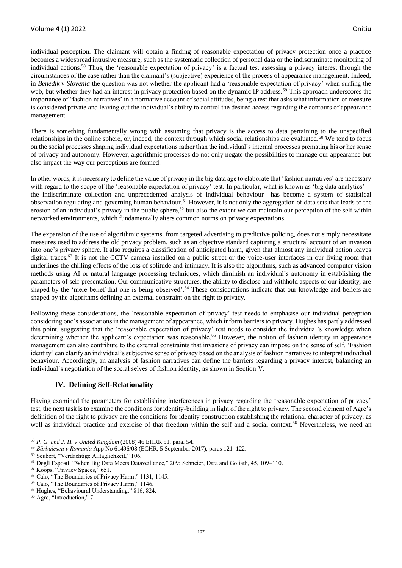individual perception. The claimant will obtain a finding of reasonable expectation of privacy protection once a practice becomes a widespread intrusive measure, such as the systematic collection of personal data or the indiscriminate monitoring of individual actions.<sup>58</sup> Thus, the 'reasonable expectation of privacy' is a factual test assessing a privacy interest through the circumstances of the case rather than the claimant's (subjective) experience of the process of appearance management. Indeed, in *Benedik v Slovenia* the question was not whether the applicant had a 'reasonable expectation of privacy' when surfing the web, but whether they had an interest in privacy protection based on the dynamic IP address.<sup>59</sup> This approach underscores the importance of 'fashion narratives' in a normative account of social attitudes, being a test that asks what information or measure is considered private and leaving out the individual's ability to control the desired access regarding the contours of appearance management.

There is something fundamentally wrong with assuming that privacy is the access to data pertaining to the unspecified relationships in the online sphere, or, indeed, the context through which social relationships are evaluated.<sup>60</sup> We tend to focus on the social processes shaping individual expectations rather than the individual's internal processes premating his or her sense of privacy and autonomy. However, algorithmic processes do not only negate the possibilities to manage our appearance but also impact the way our perceptions are formed.

In other words, it is necessary to define the value of privacy in the big data age to elaborate that 'fashion narratives' are necessary with regard to the scope of the 'reasonable expectation of privacy' test. In particular, what is known as 'big data analytics' the indiscriminate collection and unprecedented analysis of individual behaviour—has become a system of statistical observation regulating and governing human behaviour.<sup>61</sup> However, it is not only the aggregation of data sets that leads to the erosion of an individual's privacy in the public sphere,<sup>62</sup> but also the extent we can maintain our perception of the self within networked environments, which fundamentally alters common norms on privacy expectations.

The expansion of the use of algorithmic systems, from targeted advertising to predictive policing, does not simply necessitate measures used to address the old privacy problem, such as an objective standard capturing a structural account of an invasion into one's privacy sphere. It also requires a classification of anticipated harm, given that almost any individual action leaves digital traces.<sup>63</sup> It is not the CCTV camera installed on a public street or the voice-user interfaces in our living room that underlines the chilling effects of the loss of solitude and intimacy. It is also the algorithms, such as advanced computer vision methods using AI or natural language processing techniques, which diminish an individual's autonomy in establishing the parameters of self-presentation. Our communicative structures, the ability to disclose and withhold aspects of our identity, are shaped by the 'mere belief that one is being observed'.<sup>64</sup> These considerations indicate that our knowledge and beliefs are shaped by the algorithms defining an external constraint on the right to privacy.

Following these considerations, the 'reasonable expectation of privacy' test needs to emphasise our individual perception considering one's associations in the management of appearance, which inform barriers to privacy. Hughes has partly addressed this point, suggesting that the 'reasonable expectation of privacy' test needs to consider the individual's knowledge when determining whether the applicant's expectation was reasonable.<sup>65</sup> However, the notion of fashion identity in appearance management can also contribute to the external constraints that invasions of privacy can impose on the sense of self. 'Fashion identity' can clarify an individual's subjective sense of privacy based on the analysis of fashion narratives to interpret individual behaviour. Accordingly, an analysis of fashion narratives can define the barriers regarding a privacy interest, balancing an individual's negotiation of the social selves of fashion identity, as shown in Section V.

### **IV. Defining Self-Relationality**

Having examined the parameters for establishing interferences in privacy regarding the 'reasonable expectation of privacy' test, the next task is to examine the conditions for identity-building in light of the right to privacy. The second element of Agre's definition of the right to privacy are the conditions for identity construction establishing the relational character of privacy, as well as individual practice and exercise of that freedom within the self and a social context.<sup>66</sup> Nevertheless, we need an

<sup>58</sup> *P. G. and J. H. v United Kingdom* (2008) 46 EHRR 51, para. 54.

<sup>59</sup> *Bărbulescu v Romania* App No 61496/08 (ECHR, 5 September 2017), paras 121–122.

<sup>60</sup> Seubert, "Verdächtige Alltäglichkeit," 106.

<sup>61</sup> Degli Esposti, "When Big Data Meets Dataveillance," 209; Schneier, Data and Goliath, 45, 109–110.

<sup>62</sup> Koops, "Privacy Spaces," 651.

<sup>63</sup> Calo, "The Boundaries of Privacy Harm," 1131, 1145.

<sup>64</sup> Calo, "The Boundaries of Privacy Harm," 1146.

<sup>65</sup> Hughes, "Behavioural Understanding," 816, 824.

<sup>66</sup> Agre, "Introduction," 7.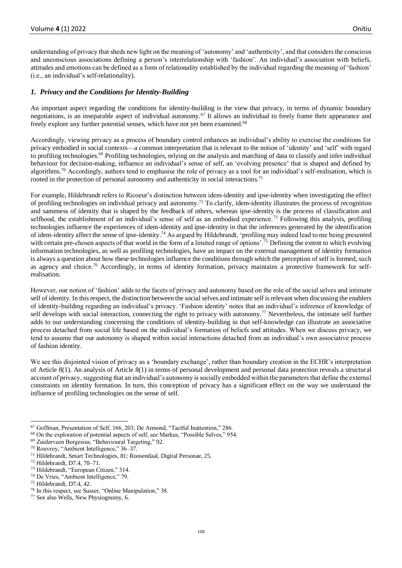understanding of privacy that sheds new light on the meaning of 'autonomy' and 'authenticity', and that considers the conscious and unconscious associations defining a person's interrelationship with 'fashion'. An individual's association with beliefs, attitudes and emotions can be defined as a form of relationality established by the individual regarding the meaning of 'fashion' (i.e., an individual's self-relationality).

## *1. Privacy and the Conditions for Identity-Building*

An important aspect regarding the conditions for identity-building is the view that privacy, in terms of dynamic boundary negotiations, is an inseparable aspect of individual autonomy.<sup>67</sup> It allows an individual to freely frame their appearance and freely explore any further potential senses, which have not yet been examined.<sup>68</sup>

Accordingly, viewing privacy as a process of boundary control enhances an individual's ability to exercise the conditions for privacy embodied in social contexts—a common interpretation that is relevant to the notion of 'identity' and 'self' with regard to profiling technologies.<sup>69</sup> Profiling technologies, relying on the analysis and matching of data to classify and infer individual behaviour for decision-making, influence an individual's sense of self, an 'evolving presence' that is shaped and defined by algorithms.<sup>70</sup> Accordingly, authors tend to emphasise the role of privacy as a tool for an individual's self-realisation, which is rooted in the protection of personal autonomy and authenticity in social interactions.<sup>71</sup>

For example, Hildebrandt refers to Ricoeur's distinction between idem-identity and ipse-identity when investigating the effect of profiling technologies on individual privacy and autonomy.<sup>72</sup> To clarify, idem-identity illustrates the process of recognition and sameness of identity that is shaped by the feedback of others, whereas ipse-identity is the process of classification and selfhood, the establishment of an individual's sense of self as an embodied experience.<sup>73</sup> Following this analysis, profiling technologies influence the experiences of idem-identity and ipse-identity in that the inferences generated by the identification of idem-identity affect the sense of ipse-identity.<sup>74</sup> As argued by Hildebrandt, 'profiling may indeed lead to me being presented with certain pre-chosen aspects of that world in the form of a limited range of options'.<sup>75</sup> Defining the extent to which evolving information technologies, as well as profiling technologies, have an impact on the external management of identity formation is always a question about how these technologies influence the conditions through which the perception of self is formed, such as agency and choice.<sup>76</sup> Accordingly, in terms of identity formation, privacy maintains a protective framework for selfrealisation.

However, our notion of 'fashion' adds to the facets of privacy and autonomy based on the role of the social selves and intimate self of identity. In this respect, the distinction between the social selves and intimate self is relevant when discussing the enablers of identity-building regarding an individual's privacy. 'Fashion identity' notes that an individual's inference of knowledge of self develops with social interaction, connecting the right to privacy with autonomy.<sup>77</sup> Nevertheless, the intimate self further adds to our understanding concerning the conditions of identity-building in that self-knowledge can illustrate an associative process detached from social life based on the individual's formation of beliefs and attitudes. When we discuss privacy, we tend to assume that our autonomy is shaped within social interactions detached from an individual's own associative process of fashion identity.

We see this disjointed vision of privacy as a 'boundary exchange', rather than boundary creation in the ECHR's interpretation of Article 8(1). An analysis of Article 8(1) in terms of personal development and personal data protection reveals a structural account of privacy, suggesting that an individual's autonomy is socially embedded within the parameters that define the external constraints on identity formation. In turn, this conception of privacy has a significant effect on the way we understand the influence of profiling technologies on the sense of self.

<sup>67</sup> Goffman, Presentation of Self, 166, 203; De Armond, "Tactful Inattention," 286.

<sup>68</sup> On the exploration of potential aspects of self, see Markus, "Possible Selves," 954.

<sup>69</sup> Zuiderveen Borgesius, "Behavioural Targeting," 92.

<sup>70</sup> Rouvroy, "Ambient Intelligence," 36–37.

<sup>71</sup> Hildebrandt, Smart Technologies, 81; Roosendaal, Digital Personae, 25.

<sup>72</sup> Hildebrandt, D7.4, 70–71.

<sup>73</sup> Hildebrandt, "European Citizen," 314.

<sup>74</sup> De Vries, "Ambient Intelligence," 79.

<sup>75</sup> Hildebrandt, D7.4, 42.

<sup>76</sup> In this respect, see Susser, "Online Manipulation," 38.

<sup>77</sup> See also Wells, New Physiognomy, 6.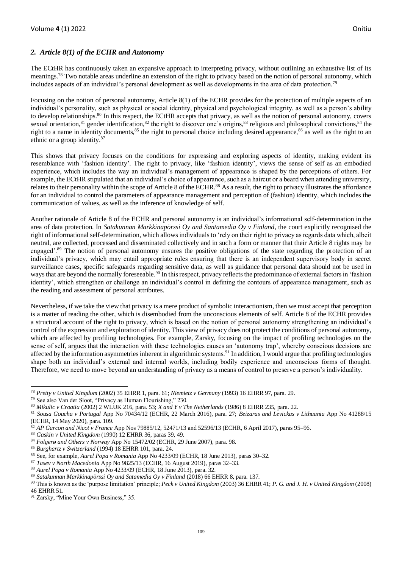# *2. Article 8(1) of the ECHR and Autonomy*

The ECtHR has continuously taken an expansive approach to interpreting privacy, without outlining an exhaustive list of its meanings.<sup>78</sup> Two notable areas underline an extension of the right to privacy based on the notion of personal autonomy, which includes aspects of an individual's personal development as well as developments in the area of data protection.<sup>79</sup>

Focusing on the notion of personal autonomy, Article 8(1) of the ECHR provides for the protection of multiple aspects of an individual's personality, such as physical or social identity, physical and psychological integrity, as well as a person's ability to develop relationships.<sup>80</sup> In this respect, the ECtHR accepts that privacy, as well as the notion of personal autonomy, covers sexual orientation, $81$  gender identification, $82$  the right to discover one's origins, $83$  religious and philosophical convictions, $84$  the right to a name in identity documents,<sup>85</sup> the right to personal choice including desired appearance,<sup>86</sup> as well as the right to an ethnic or a group identity.<sup>87</sup>

This shows that privacy focuses on the conditions for expressing and exploring aspects of identity, making evident its resemblance with 'fashion identity'. The right to privacy, like 'fashion identity', views the sense of self as an embodied experience, which includes the way an individual's management of appearance is shaped by the perceptions of others. For example, the ECtHR stipulated that an individual's choice of appearance, such as a haircut or a beard when attending university, relates to their personality within the scope of Article 8 of the ECHR.<sup>88</sup> As a result, the right to privacy illustrates the affordance for an individual to control the parameters of appearance management and perception of (fashion) identity, which includes the communication of values, as well as the inference of knowledge of self.

Another rationale of Article 8 of the ECHR and personal autonomy is an individual's informational self-determination in the area of data protection. In *Satakunnan Markkinapörssi Oy and Santamedia Oy v Finland*, the court explicitly recognised the right of informational self-determination, which allows individuals to 'rely on their right to privacy as regards data which, albeit neutral, are collected, processed and disseminated collectively and in such a form or manner that their Article 8 rights may be engaged'.<sup>89</sup> The notion of personal autonomy ensures the positive obligations of the state regarding the protection of an individual's privacy, which may entail appropriate rules ensuring that there is an independent supervisory body in secret surveillance cases, specific safeguards regarding sensitive data, as well as guidance that personal data should not be used in ways that are beyond the normally foreseeable.<sup>90</sup> In this respect, privacy reflects the predominance of external factors in 'fashion identity', which strengthen or challenge an individual's control in defining the contours of appearance management, such as the reading and assessment of personal attributes.

Nevertheless, if we take the view that privacy is a mere product of symbolic interactionism, then we must accept that perception is a matter of reading the other, which is disembodied from the unconscious elements of self. Article 8 of the ECHR provides a structural account of the right to privacy, which is based on the notion of personal autonomy strengthening an individual's control of the expression and exploration of identity. This view of privacy does not protect the conditions of personal autonomy, which are affected by profiling technologies. For example, Zarsky, focusing on the impact of profiling technologies on the sense of self, argues that the interaction with these technologies causes an 'autonomy trap', whereby conscious decisions are affected by the information asymmetries inherent in algorithmic systems.<sup>91</sup> In addition, I would argue that profiling technologies shape both an individual's external and internal worlds, including bodily experience and unconscious forms of thought. Therefore, we need to move beyond an understanding of privacy as a means of control to preserve a person's individuality.

<sup>83</sup> *Gaskin v United Kingdom* (1990) 12 EHRR 36, paras 39, 49.

<sup>78</sup> *Pretty v United Kingdom* (2002) 35 EHRR 1, para. 61; *Niemietz v Germany* (1993) 16 EHRR 97, para. 29.

<sup>79</sup> See also Van der Sloot, "Privacy as Human Flourishing," 230.

<sup>80</sup> *Mikulic v Croatia* (2002) 2 WLUK 216, para. 53; *X and Y v The Netherlands* (1986) 8 EHRR 235, para. 22.

<sup>81</sup> *Sousa Goucha v Portugal* App No 70434/12 (ECHR, 22 March 2016), para. 27; *Beizaras and Levickas v Lithuania* App No 41288/15 (ECHR, 14 May 2020), para. 109.

<sup>82</sup> *AP Garcon and Nicot v France* App Nos 79885/12, 52471/13 and 52596/13 (ECHR, 6 April 2017), paras 95–96.

<sup>84</sup> *Folgerø and Others v Norway* App No 15472/02 (ECHR, 29 June 2007), para. 98.

<sup>85</sup> *Burghartz v Switzerland* (1994) 18 EHRR 101, para. 24.

<sup>86</sup> See, for example, *Aurel Popa v Romania* App No 4233/09 (ECHR, 18 June 2013), paras 30–32.

<sup>87</sup> *Tasev v North Macedonia* App No 9825/13 (ECHR, 16 August 2019), paras 32–33.

<sup>88</sup> *Aurel Popa v Romania* App No 4233/09 (ECHR, 18 June 2013), para. 32.

<sup>89</sup> *Satakunnan Markkinapörssi Oy and Satamedia Oy v Finland* (2018) 66 EHRR 8, para. 137.

<sup>90</sup> This is known as the 'purpose limitation' principle; *Peck v United Kingdom* (2003) 36 EHRR 41; *P. G. and J. H. v United Kingdom* (2008) 46 EHRR 51.

<sup>&</sup>lt;sup>91</sup> Zarsky, "Mine Your Own Business," 35.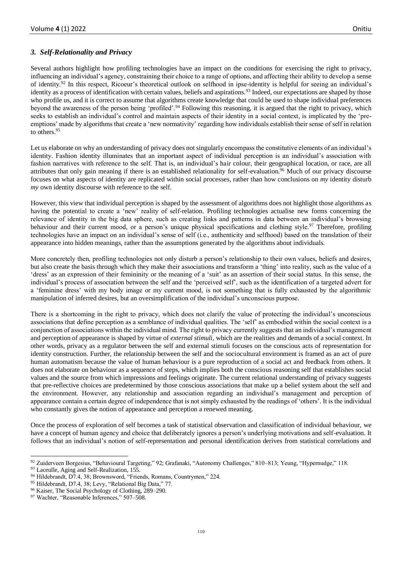# *3. Self-Relationality and Privacy*

Several authors highlight how profiling technologies have an impact on the conditions for exercising the right to privacy, influencing an individual's agency, constraining their choice to a range of options, and affecting their ability to develop a sense of identity.<sup>92</sup> In this respect, Ricoeur's theoretical outlook on selfhood in ipse-identity is helpful for seeing an individual's identity as a process of identification with certain values, beliefs and aspirations.<sup>93</sup> Indeed, our expectations are shaped by those who profile us, and it is correct to assume that algorithms create knowledge that could be used to shape individual preferences beyond the awareness of the person being 'profiled'.<sup>94</sup> Following this reasoning, it is argued that the right to privacy, which seeks to establish an individual's control and maintain aspects of their identity in a social context, is implicated by the 'preemptions' made by algorithms that create a 'new normativity' regarding how individuals establish their sense of self in relation to others.<sup>95</sup>

Let us elaborate on why an understanding of privacy does not singularly encompass the constitutive elements of an individual's identity. Fashion identity illuminates that an important aspect of individual perception is an individual's association with fashion narratives with reference to the self. That is, an individual's hair colour, their geographical location, or race, are all attributes that only gain meaning if there is an established relationality for self-evaluation.<sup>96</sup> Much of our privacy discourse focuses on what aspects of identity are replicated within social processes, rather than how conclusions on *my* identity disturb *my* own identity discourse with reference to the self.

However, this view that individual perception is shaped by the assessment of algorithms does not highlight those algorithms as having the potential to create a 'new' reality of self-relation. Profiling technologies actualise new forms concerning the relevance of identity in the big data sphere, such as creating links and patterns in data between an individual's browsing behaviour and their current mood, or a person's unique physical specifications and clothing style.<sup>97</sup> Therefore, profiling technologies have an impact on an individual's sense of self (i.e., authenticity and selfhood) based on the translation of their appearance into hidden meanings, rather than the assumptions generated by the algorithms about individuals.

More concretely then, profiling technologies not only disturb a person's relationship to their own values, beliefs and desires, but also create the basis through which they make their associations and transform a 'thing' into reality, such as the value of a 'dress' as an expression of their femininity or the meaning of a 'suit' as an assertion of their social status. In this sense, the individual's process of association between the self and the 'perceived self', such as the identification of a targeted advert for a 'feminine dress' with my body image or my current mood, is not something that is fully exhausted by the algorithmic manipulation of inferred desires, but an oversimplification of the individual's unconscious purpose.

There is a shortcoming in the right to privacy, which does not clarify the value of protecting the individual's unconscious associations that define perception as a semblance of individual qualities. The 'self' as embodied within the social context is a conjunction of associations within the individual mind. The right to privacy currently suggests that an individual's management and perception of appearance is shaped by virtue of *external stimuli*, which are the realities and demands of a social context. In other words, privacy as a regulator between the self and external stimuli focuses on the conscious acts of representation for identity construction. Further, the relationship between the self and the sociocultural environment is framed as an act of pure human automatism because the value of human behaviour is a pure reproduction of a social act and feedback from others. It does not elaborate on behaviour as a sequence of steps, which implies both the conscious reasoning self that establishes social values and the source from which impressions and feelings originate. The current relational understanding of privacy suggests that pre-reflective choices are predetermined by those conscious associations that make up a belief system about the self and the environment. However, any relationship and association regarding an individual's management and perception of appearance contain a certain degree of independence that is not simply exhausted by the readings of 'others'. It is the individual who constantly gives the notion of appearance and perception a renewed meaning.

Once the process of exploration of self becomes a task of statistical observation and classification of individual behaviour, we have a concept of human agency and choice that deliberately ignores a person's underlying motivations and self-evaluation. It follows that an individual's notion of self-representation and personal identification derives from statistical correlations and

<sup>92</sup> Zuiderveen Borgesius, "Behavioural Targeting," 92; Grafanaki, "Autonomy Challenges," 810–813; Yeung, "Hypernudge," 118.

<sup>&</sup>lt;sup>93</sup> Laceulle, Aging and Self-Realization, 155.

<sup>94</sup> Hildebrandt, D7.4, 38; Brownsword, "Friends, Romans, Countrymen," 224.

<sup>95</sup> Hildebrandt, D7.4, 38; Levy, "Relational Big Data," 77.

<sup>96</sup> Kaiser, The Social Psychology of Clothing, 289–290.

<sup>&</sup>lt;sup>97</sup> Wachter, "Reasonable Inferences," 507-508.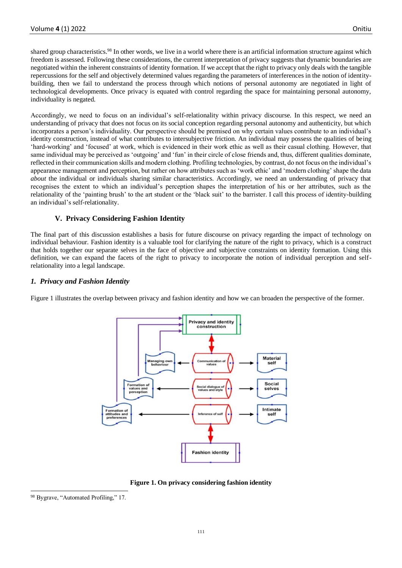shared group characteristics.<sup>98</sup> In other words, we live in a world where there is an artificial information structure against which freedom is assessed. Following these considerations, the current interpretation of privacy suggests that dynamic boundaries are negotiated within the inherent constraints of identity formation. If we accept that the right to privacy only deals with the tangible repercussions for the self and objectively determined values regarding the parameters of interferences in the notion of identitybuilding, then we fail to understand the process through which notions of personal autonomy are negotiated in light of technological developments. Once privacy is equated with control regarding the space for maintaining personal autonomy, individuality is negated.

Accordingly, we need to focus on an individual's self-relationality within privacy discourse. In this respect, we need an understanding of privacy that does not focus on its social conception regarding personal autonomy and authenticity, but which incorporates a person's individuality. Our perspective should be premised on why certain values contribute to an individual's identity construction, instead of what contributes to intersubjective friction. An individual may possess the qualities of being 'hard-working' and 'focused' at work, which is evidenced in their work ethic as well as their casual clothing. However, that same individual may be perceived as 'outgoing' and 'fun' in their circle of close friends and, thus, different qualities dominate, reflected in their communication skills and modern clothing. Profiling technologies, by contrast, do not focus on the individual's appearance management and perception, but rather on how attributes such as 'work ethic' and 'modern clothing' shape the data *about* the individual or individuals sharing similar characteristics. Accordingly, we need an understanding of privacy that recognises the extent to which an individual's perception shapes the interpretation of his or her attributes, such as the relationality of the 'painting brush' to the art student or the 'black suit' to the barrister. I call this process of identity-building an individual's self-relationality.

# **V. Privacy Considering Fashion Identity**

The final part of this discussion establishes a basis for future discourse on privacy regarding the impact of technology on individual behaviour. Fashion identity is a valuable tool for clarifying the nature of the right to privacy, which is a construct that holds together our separate selves in the face of objective and subjective constraints on identity formation. Using this definition, we can expand the facets of the right to privacy to incorporate the notion of individual perception and selfrelationality into a legal landscape.

### *1. Privacy and Fashion Identity*

Figure 1 illustrates the overlap between privacy and fashion identity and how we can broaden the perspective of the former.



**Figure 1. On privacy considering fashion identity**

<sup>98</sup> Bygrave, "Automated Profiling," 17.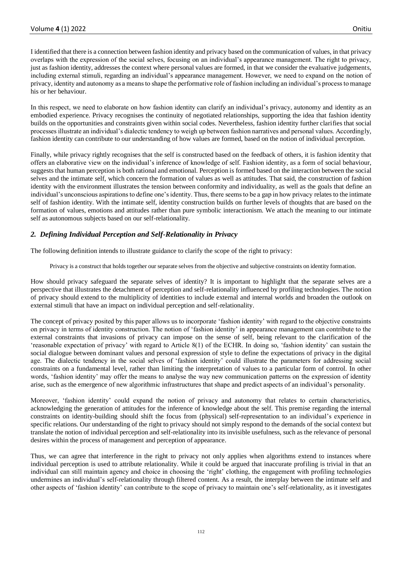I identified that there is a connection between fashion identity and privacy based on the communication of values, in that privacy overlaps with the expression of the social selves, focusing on an individual's appearance management. The right to privacy, just as fashion identity, addresses the context where personal values are formed, in that we consider the evaluative judgements, including external stimuli, regarding an individual's appearance management. However, we need to expand on the notion of privacy, identity and autonomy as a means to shape the performative role of fashion including an individual's process to manage his or her behaviour.

In this respect, we need to elaborate on how fashion identity can clarify an individual's privacy, autonomy and identity as an embodied experience. Privacy recognises the continuity of negotiated relationships, supporting the idea that fashion identity builds on the opportunities and constraints given within social codes. Nevertheless, fashion identity further clarifies that social processes illustrate an individual's dialectic tendency to weigh up between fashion narratives and personal values. Accordingly, fashion identity can contribute to our understanding of how values are formed, based on the notion of individual perception.

Finally, while privacy rightly recognises that the self is constructed based on the feedback of others, it is fashion identity that offers an elaborative view on the individual's inference of knowledge of self. Fashion identity, as a form of social behaviour, suggests that human perception is both rational and emotional. Perception is formed based on the interaction between the social selves and the intimate self, which concern the formation of values as well as attitudes. That said, the construction of fashion identity with the environment illustrates the tension between conformity and individuality, as well as the goals that define an individual's unconscious aspirations to define one's identity. Thus, there seems to be a gap in how privacy relates to the intimate self of fashion identity. With the intimate self, identity construction builds on further levels of thoughts that are based on the formation of values, emotions and attitudes rather than pure symbolic interactionism. We attach the meaning to our intimate self as autonomous subjects based on our self-relationality.

# *2. Defining Individual Perception and Self-Relationality in Privacy*

The following definition intends to illustrate guidance to clarify the scope of the right to privacy:

Privacy is a construct that holds together our separate selves from the objective and subjective constraints on identity formation.

How should privacy safeguard the separate selves of identity? It is important to highlight that the separate selves are a perspective that illustrates the detachment of perception and self-relationality influenced by profiling technologies. The notion of privacy should extend to the multiplicity of identities to include external and internal worlds and broaden the outlook on external stimuli that have an impact on individual perception and self-relationality.

The concept of privacy posited by this paper allows us to incorporate 'fashion identity' with regard to the objective constraints on privacy in terms of identity construction. The notion of 'fashion identity' in appearance management can contribute to the external constraints that invasions of privacy can impose on the sense of self, being relevant to the clarification of the 'reasonable expectation of privacy' with regard to Article 8(1) of the ECHR. In doing so, 'fashion identity' can sustain the social dialogue between dominant values and personal expression of style to define the expectations of privacy in the digital age. The dialectic tendency in the social selves of 'fashion identity' could illustrate the parameters for addressing social constraints on a fundamental level, rather than limiting the interpretation of values to a particular form of control. In other words, 'fashion identity' may offer the means to analyse the way new communication patterns on the expression of identity arise, such as the emergence of new algorithmic infrastructures that shape and predict aspects of an individual's personality.

Moreover, 'fashion identity' could expand the notion of privacy and autonomy that relates to certain characteristics, acknowledging the generation of attitudes for the inference of knowledge about the self. This premise regarding the internal constraints on identity-building should shift the focus from (physical) self-representation to an individual's experience in specific relations. Our understanding of the right to privacy should not simply respond to the demands of the social context but translate the notion of individual perception and self-relationality into its invisible usefulness, such as the relevance of personal desires within the process of management and perception of appearance.

Thus, we can agree that interference in the right to privacy not only applies when algorithms extend to instances where individual perception is used to attribute relationality. While it could be argued that inaccurate profiling is trivial in that an individual can still maintain agency and choice in choosing the 'right' clothing, the engagement with profiling technologies undermines an individual's self-relationality through filtered content. As a result, the interplay between the intimate self and other aspects of 'fashion identity' can contribute to the scope of privacy to maintain one's self-relationality, as it investigates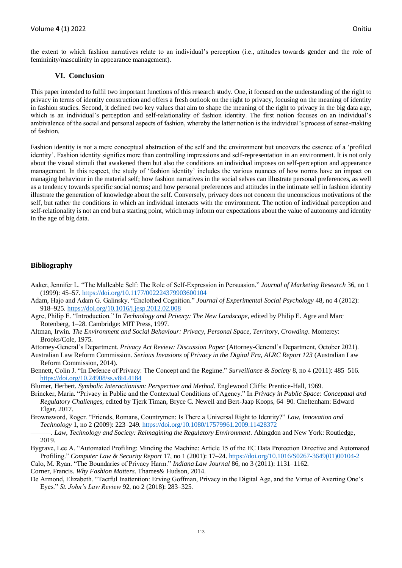the extent to which fashion narratives relate to an individual's perception (i.e., attitudes towards gender and the role of femininity/masculinity in appearance management).

#### **VI. Conclusion**

This paper intended to fulfil two important functions of this research study. One, it focused on the understanding of the right to privacy in terms of identity construction and offers a fresh outlook on the right to privacy, focusing on the meaning of identity in fashion studies. Second, it defined two key values that aim to shape the meaning of the right to privacy in the big data age, which is an individual's perception and self-relationality of fashion identity. The first notion focuses on an individual's ambivalence of the social and personal aspects of fashion, whereby the latter notion is the individual's process of sense-making of fashion.

Fashion identity is not a mere conceptual abstraction of the self and the environment but uncovers the essence of a 'profiled identity'. Fashion identity signifies more than controlling impressions and self-representation in an environment. It is not only about the visual stimuli that awakened them but also the conditions an individual imposes on self-perception and appearance management. In this respect, the study of 'fashion identity' includes the various nuances of how norms have an impact on managing behaviour in the material self; how fashion narratives in the social selves can illustrate personal preferences, as well as a tendency towards specific social norms; and how personal preferences and attitudes in the intimate self in fashion identity illustrate the generation of knowledge about the self. Conversely, privacy does not concern the unconscious motivations of the self, but rather the conditions in which an individual interacts with the environment. The notion of individual perception and self-relationality is not an end but a starting point, which may inform our expectations about the value of autonomy and identity in the age of big data.

#### **Bibliography**

- Aaker, Jennifer L. "The Malleable Self: The Role of Self-Expression in Persuasion." *Journal of Marketing Research* 36, no 1 (1999): 45–57[. https://doi.org/10.1177/002224379903600104](https://doi.org/10.1177%2F002224379903600104)
- Adam, Hajo and Adam G. Galinsky. "Enclothed Cognition." *Journal of Experimental Social Psychology* 48, no 4 (2012): 918–925[. https://doi.org/10.1016/j.jesp.2012.02.008](https://doi.org/10.1016/j.jesp.2012.02.008)
- Agre, Philip E. "Introduction." In *Technology and Privacy: The New Landscape*, edited by Philip E. Agre and Marc Rotenberg, 1–28. Cambridge: MIT Press, 1997.
- Altman, Irwin. *The Environment and Social Behaviour: Privacy, Personal Space, Territory, Crowding*. Monterey: Brooks/Cole, 1975.
- Attorney-General's Department. *Privacy Act Review: Discussion Paper* (Attorney-General's Department, October 2021).
- Australian Law Reform Commission. *Serious Invasions of Privacy in the Digital Era, ALRC Report 123* (Australian Law Reform Commission, 2014).
- Bennett, Colin J. "In Defence of Privacy: The Concept and the Regime." *Surveillance & Society* 8, no 4 (2011): 485–516. <https://doi.org/10.24908/ss.v8i4.4184>

Blumer, Herbert. *Symbolic Interactionism: Perspective and Method*. Englewood Cliffs: Prentice-Hall, 1969.

- Brincker, Maria. "Privacy in Public and the Contextual Conditions of Agency." In *Privacy in Public Space: Conceptual and Regulatory Challenges*, edited by Tjerk Timan, Bryce C. Newell and Bert-Jaap Koops, 64–90. Cheltenham: Edward Elgar, 2017.
- Brownsword, Roger. "Friends, Romans, Countrymen: Is There a Universal Right to Identity?" *Law, Innovation and Technology* 1, no 2 (2009): 223–249[. https://doi.org/10.1080/17579961.2009.11428372](https://doi.org/10.1080/17579961.2009.11428372)
- ———. *Law, Technology and Society: Reimagining the Regulatory Environment*. Abingdon and New York: Routledge, 2019.
- Bygrave, Lee A. "Automated Profiling: Minding the Machine: Article 15 of the EC Data Protection Directive and Automated Profiling." *Computer Law & Security Report* 17, no 1 (2001): 17–24. [https://doi.org/10.1016/S0267-3649\(01\)00104-2](https://doi.org/10.1016/S0267-3649(01)00104-2)
- Calo, M. Ryan. "The Boundaries of Privacy Harm." *Indiana Law Journal* 86, no 3 (2011): 1131–1162.
- Corner, Francis. *Why Fashion Matters*. Thames& Hudson, 2014.
- De Armond, Elizabeth. "Tactful Inattention: Erving Goffman, Privacy in the Digital Age, and the Virtue of Averting One's Eyes." *St. John's Law Review* 92, no 2 (2018): 283–325.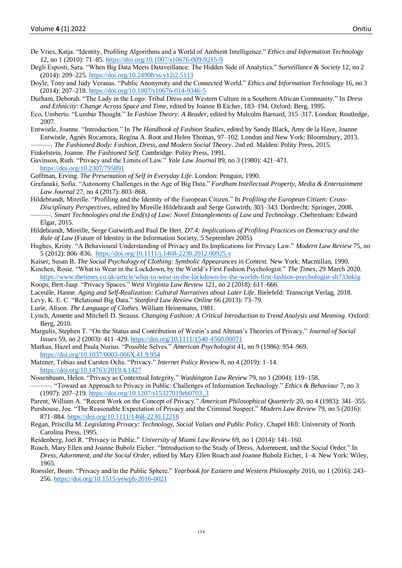De Vries, Katja. "Identity, Profiling Algorithms and a World of Ambient Intelligence." *Ethics and Information Technology*  12, no 1 (2010): 71–85[. https://doi.org/10.1007/s10676-009-9215-9](https://doi.org/10.1007/s10676-009-9215-9)

- Degli Esposti, Sara. "When Big Data Meets Dataveillance: The Hidden Side of Analytics." *Surveillance & Society* 12, no 2 (2014): 209–225[. https://doi.org/10.24908/ss.v12i2.5113](https://doi.org/10.24908/ss.v12i2.5113)
- Doyle, Tony and Judy Veranas. "Public Anonymity and the Connected World." *Ethics and Information Technology* 16, no 3 (2014): 207–218[. https://doi.org/10.1007/s10676-014-9346-5](https://doi.org/10.1007/s10676-014-9346-5)
- Durham, Deborah. "The Lady in the Logo: Tribal Dress and Western Culture in a Southern African Community." In *Dress and Ethnicity: Change Across Space and Time*, edited by Joanne B Eicher, 183–194. Oxford: Berg, 1995.
- Eco, Umberto. "Lumbar Thought." In *Fashion Theory: A Reader*, edited by Malcolm Barnard, 315–317. London: Routledge, 2007.
- Entwistle, Joanne. "Introduction." In *The Handbook of Fashion Studies*, edited by Sandy Black, Amy de la Haye, Joanne Entwistle, Agnès Rocamora, Regina A. Root and Helen Thomas, 97–102. London and New York: Bloomsbury, 2013. ———. *The Fashioned Body: Fashion, Dress, and Modern Social Theory*. 2nd ed. Malden: Polity Press, 2015.
- Finkelstein, Joanne. *The Fashioned Self*. Cambridge: Polity Press, 1991.
- Gavinson, Ruth. "Privacy and the Limits of Law." *Yale Law Journal* 89, no 3 (1980): 421–471. <https://doi.org/10.2307/795891>
- Goffman, Erving. *The Presentation of Self in Everyday Life*. London: Penguin, 1990.
- Grafanaki, Sofia. "Autonomy Challenges in the Age of Big Data." *Fordham Intellectual Property, Media & Entertainment Law Journal* 27, no 4 (2017): 803–868.
- Hildebrandt, Mireille. "Profiling and the Identity of the European Citizen." In *Profiling the European Citizen: Cross-Disciplinary Perspectives*, edited by Mireille Hildebrandt and Serge Gutwirth, 303–343. Dordrecht: Springer, 2008. ———. *Smart Technologies and the End(s) of Law: Novel Entanglements of Law and Technology*. Cheltenham: Edward Elgar, 2015.
- Hildebrandt, Mireille, Serge Gutwirth and Paul De Hert. *D7.4: Implications of Profiling Practices on Democracy and the Rule of Law* (Future of Identity in the Information Society, 5 September 2005).
- Hughes, Kristy. "A Behavioural Understanding of Privacy and Its Implications for Privacy Law." *Modern Law Review* 75, no 5 (2012): 806–836.<https://doi.org/10.1111/j.1468-2230.2012.00925.x>
- Kaiser, Susan B. *The Social Psychology of Clothing: Symbolic Appearances in Context*. New York: Macmillan, 1990.
- Kinchen, Rosie. "What to Wear in the Lockdown, by the World's First Fashion Psychologist." *The Times*, 29 March 2020. <https://www.thetimes.co.uk/article/what-to-wear-in-the-lockdown-by-the-worlds-first-fashion-psychologist-sh733nklg>
- Koops, Bert-Jaap. "Privacy Spaces." *West Virginia Law Review* 121, no 2 (2018): 611–666.
- Laceulle, Hanne. *Aging and Self-Realization: Cultural Narratives about Later Life*. Bielefeld: Transcript Verlag, 2018.
- Levy, K. E. C. "Relational Big Data." *Stanford Law Review Online* 66 (2013): 73–79.
- Lurie, Alison. *The Language of Clothes*. William Heinemann, 1981.
- Lynch, Annette and Mitchell D. Strauss. *Changing Fashion: A Critical Introduction to Trend Analysis and Meaning*. Oxford: Berg, 2010.
- Margulis, Stephen T. "On the Status and Contribution of Westin's and Altman's Theories of Privacy." *Journal of Social Issues* 59, no 2 (2003): 411–429.<https://doi.org/10.1111/1540-4560.00071>
- Markus, Hazel and Paula Nurius. "Possible Selves." *American Psychologist* 41, no 9 (1986): 954–969. [https://doi.org/10.1037/0003-066X.41.9.954](https://psycnet.apa.org/doi/10.1037/0003-066X.41.9.954)
- Matzner, Tobias and Carsten Ochs. "Privacy." *Internet Policy Review* 8, no 4 (2019): 1–14. <https://doi.org/10.14763/2019.4.1427>
- Nissenbaum, Helen. "Privacy as Contextual Integrity." *Washington Law Review* 79, no 1 (2004): 119–158. ———. "Toward an Approach to Privacy in Public: Challenges of Information Technology." *Ethics & Behaviour* 7, no 3 (1997): 207–219[. https://doi.org/10.1207/s15327019eb0703\\_3](https://doi.org/10.1207/s15327019eb0703_3)
- Parent, William A. "Recent Work on the Concept of Privacy." *American Philosophical Quarterly* 20, no 4 (1983): 341–355.
- Purshouse, Joe. "The Reasonable Expectation of Privacy and the Criminal Suspect." *Modern Law Review* 79, no 5 (2016): 871–884[. https://doi.org/10.1111/1468-2230.12218](https://doi.org/10.1111/1468-2230.12218)
- Regan, Priscilla M. *Legislating Privacy: Technology, Social Values and Public Policy*. Chapel Hill: University of North Carolina Press, 1995.
- Reidenberg, Joel R. "Privacy in Public." *University of Miami Law Review* 69, no 1 (2014): 141–160.
- Roach, Mary Ellen and Joanne Bubolz Eicher. "Introduction to the Study of Dress, Adornment, and the Social Order." In *Dress, Adornment, and the Social Order*, edited by Mary Ellen Roach and Joanne Bubolz Eicher, 1–4. New York: Wiley, 1965.
- Roessler, Beate. "Privacy and/in the Public Sphere." *Yearbook for Eastern and Western Philosophy* 2016, no 1 (2016): 243– 256[. https://doi.org/10.1515/yewph-2016-0021](https://doi.org/10.1515/yewph-2016-0021)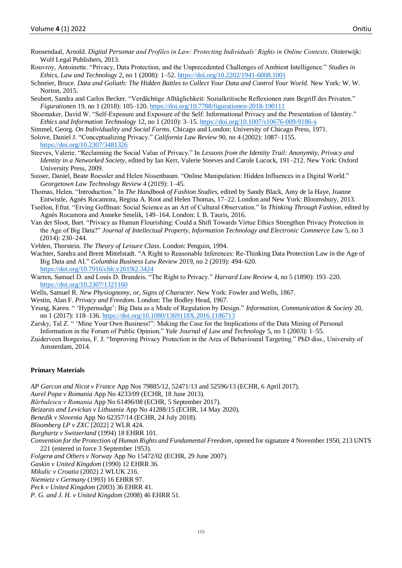- Roosendaal, Arnold. *Digital Personae and Profiles in Law: Protecting Individuals' Rights in Online Contexts*. Oisterwijk: Wolf Legal Publishers, 2013.
- Rouvroy, Antoinette. "Privacy, Data Protection, and the Unprecedented Challenges of Ambient Intelligence." *Studies in Ethics, Law and Technology* 2, no 1 (2008): 1–52.<https://doi.org/10.2202/1941-6008.1001>
- Schneier, Bruce. *Data and Goliath: The Hidden Battles to Collect Your Data and Control Your World*. New York: W. W. Norton, 2015.
- Seubert, Sandra and Carlos Becker. "Verdächtige Alltäglichkeit: Sozialkritische Reflexionen zum Begriff des Privaten." *Figurationen* 19, no 1 (2018): 105–120.<https://doi.org/10.7788/figurationen-2018-190111>
- Shoemaker, David W. "Self-Exposure and Exposure of the Self: Informational Privacy and the Presentation of Identity." *Ethics and Information Technology* 12, no 1 (2010): 3–15.<https://doi.org/10.1007/s10676-009-9186-x>
- Simmel, Georg. *On Individuality and Social Forms*. Chicago and London: University of Chicago Press, 1971.
- Solove, Daniel J. "Conceptualizing Privacy." *California Law Review* 90, no 4 (2002): 1087–1155.

```
https://doi.org/10.2307/3481326
```
- Steeves, Valerie. "Reclaiming the Social Value of Privacy." In *Lessons from the Identity Trail: Anonymity, Privacy and Identity in a Networked Society*, edited by Ian Kerr, Valerie Steeves and Carole Lucock, 191–212. New York: Oxford University Press, 2009.
- Susser, Daniel, Beate Roessler and Helen Nissenbaum. "Online Manipulation: Hidden Influences in a Digital World." *Georgetown Law Technology Review* 4 (2019): 1–45.
- Thomas, Helen. "Introduction." In *The Handbook of Fashion Studies*, edited by Sandy Black, Amy de la Haye, Joanne Entwistle, Agnès Rocamora, Regina A. Root and Helen Thomas, 17–22. London and New York: Bloomsbury, 2013.
- Tseëlon, Efrat. "Erving Goffman: Social Science as an Art of Cultural Observation." In *Thinking Through Fashion*, edited by Agnès Rocamora and Anneke Smelik, 149–164. London: I. B. Tauris, 2016.
- Van der Sloot, Bart. "Privacy as Human Flourishing: Could a Shift Towards Virtue Ethics Strengthen Privacy Protection in the Age of Big Data?" *Journal of Intellectual Property, Information Technology and Electronic Commerce Law* 5, no 3 (2014): 230–244.
- Veblen, Thorstein. *The Theory of Leisure Class*. London: Penguin, 1994.
- Wachter, Sandra and Brent Mittelstadt. "A Right to Reasonable Inferences: Re-Thinking Data Protection Law in the Age of Big Data and AI." *Columbia Business Law Review* 2019, no 2 (2019): 494–620. <https://doi.org/10.7916/cblr.v2019i2.3424>
- Warren, Samuel D. and Louis D. Brandeis. "The Right to Privacy." *Harvard Law Review* 4, no 5 (1890): 193–220. <https://doi.org/10.2307/1321160>
- Wells, Samuel R. *New Physiognomy, or, Signs of Character*. New York: Fowler and Wells, 1867.
- Westin, Alan F. *Privacy and Freedom*. London: The Bodley Head, 1967.
- Yeung, Karen. " 'Hypernudge': Big Data as a Mode of Regulation by Design." *Information, Communication & Society* 20, no 1 (2017): 118–136[. https://doi.org/10.1080/1369118X.2016.1186713](https://doi.org/10.1080/1369118X.2016.1186713)
- Zarsky, Tal Z. " 'Mine Your Own Business!": Making the Case for the Implications of the Data Mining of Personal Information in the Forum of Public Opinion." *Yale Journal of Law and Technology* 5, no 1 (2003): 1–55.
- Zuiderveen Borgesius, F. J. "Improving Privacy Protection in the Area of Behavioural Targeting." PhD diss., University of Amsterdam, 2014.

#### **Primary Materials**

- *AP Garcon and Nicot v France* App Nos 79885/12, 52471/13 and 52596/13 (ECHR, 6 April 2017).
- *Aurel Popa v Romania* App No 4233/09 (ECHR, 18 June 2013).
- *Bărbulescu v Romania* App No 61496/08 (ECHR, 5 September 2017).
- *Beizaras and Levickas v Lithuania* App No 41288/15 (ECHR, 14 May 2020).
- *Benedik v Slovenia* App No 62357/14 (ECHR, 24 July 2018).
- *Bloomberg LP v ZXC* [2022] 2 WLR 424.
- *Burghartz v Switzerland* (1994) 18 EHRR 101.
- *Convention for the Protection of Human Rights and Fundamental Freedom*, opened for signature 4 November 1950, 213 UNTS 221 (entered in force 3 September 1953).
- *Folgerø and Others v Norway* App No 15472/02 (ECHR, 29 June 2007).
- *Gaskin v United Kingdom* (1990) 12 EHRR 36.
- *Mikulic v Croatia* (2002) 2 WLUK 216.
- *Niemietz v Germany* (1993) 16 EHRR 97.
- *Peck v United Kingdom* (2003) 36 EHRR 41.
- *P. G. and J. H. v United Kingdom* (2008) 46 EHRR 51.